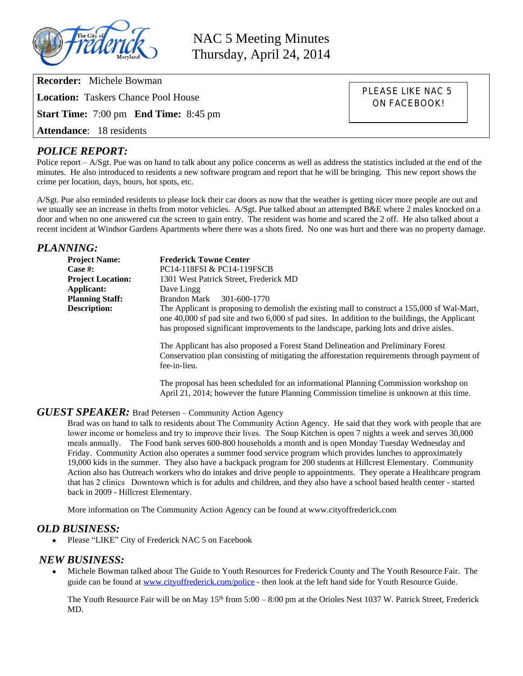

NAC 5 Meeting Minutes Thursday, April 24, 2014

**Recorder:** Michele Bowman

**Location:** Taskers Chance Pool House

**Start Time:** 7:00 pm **End Time:** 8:45 pm

**Attendance**: 18 residents

### *POLICE REPORT:*

Police report – A/Sgt. Pue was on hand to talk about any police concerns as well as address the statistics included at the end of the minutes. He also introduced to residents a new software program and report that he will be bringing. This new report shows the crime per location, days, hours, hot spots, etc.

A/Sgt. Pue also reminded residents to please lock their car doors as now that the weather is getting nicer more people are out and we usually see an increase in thefts from motor vehicles. A/Sgt. Pue talked about an attempted B&E where 2 males knocked on a door and when no one answered cut the screen to gain entry. The resident was home and scared the 2 off. He also talked about a recent incident at Windsor Gardens Apartments where there was a shots fired. No one was hurt and there was no property damage.

### *PLANNING:*

| <b>Project Name:</b>     | <b>Frederick Towne Center</b>                                                                                                                                                                                                                                                            |
|--------------------------|------------------------------------------------------------------------------------------------------------------------------------------------------------------------------------------------------------------------------------------------------------------------------------------|
| Case #:                  | PC14-118FSI & PC14-119FSCB                                                                                                                                                                                                                                                               |
| <b>Project Location:</b> | 1301 West Patrick Street, Frederick MD                                                                                                                                                                                                                                                   |
| Applicant:               | Dave Lingg                                                                                                                                                                                                                                                                               |
| <b>Planning Staff:</b>   | Brandon Mark<br>301-600-1770                                                                                                                                                                                                                                                             |
| <b>Description:</b>      | The Applicant is proposing to demolish the existing mall to construct a 155,000 sf Wal-Mart,<br>one 40,000 sf pad site and two 6,000 sf pad sites. In addition to the buildings, the Applicant<br>has proposed significant improvements to the landscape, parking lots and drive aisles. |
|                          | The Applicant has also proposed a Forest Stand Delineation and Preliminary Forest<br>Conservation plan consisting of mitigating the afforestation requirements through payment of<br>fee-in-lieu.                                                                                        |
|                          | The proposal has been scheduled for an informational Planning Commission workshop on                                                                                                                                                                                                     |

April 21, 2014; however the future Planning Commission timeline is unknown at this time.

PLEASE LIKE NAC 5 ON FACEBOOK!

#### *GUEST SPEAKER:* Brad Petersen – Community Action Agency

Brad was on hand to talk to residents about The Community Action Agency. He said that they work with people that are lower income or homeless and try to improve their lives. The Soup Kitchen is open 7 nights a week and serves 30,000 meals annually. The Food bank serves 600-800 households a month and is open Monday Tuesday Wednesday and Friday. Community Action also operates a summer food service program which provides lunches to approximately 19,000 kids in the summer. They also have a backpack program for 200 students at Hillcrest Elementary. Community Action also has Outreach workers who do intakes and drive people to appointments. They operate a Healthcare program that has 2 clinics Downtown which is for adults and children, and they also have a school based health center - started back in 2009 - Hillcrest Elementary.

More information on The Community Action Agency can be found at www.cityoffrederick.com

### *OLD BUSINESS:*

Please "LIKE" City of Frederick NAC 5 on Facebook

### *NEW BUSINESS:*

 Michele Bowman talked about The Guide to Youth Resources for Frederick County and The Youth Resource Fair. The guide can be found at [www.cityoffrederick.com/police](http://www.cityoffrederick.com/police) - then look at the left hand side for Youth Resource Guide.

The Youth Resource Fair will be on May  $15<sup>th</sup>$  from  $5:00 - 8:00$  pm at the Orioles Nest 1037 W. Patrick Street, Frederick MD.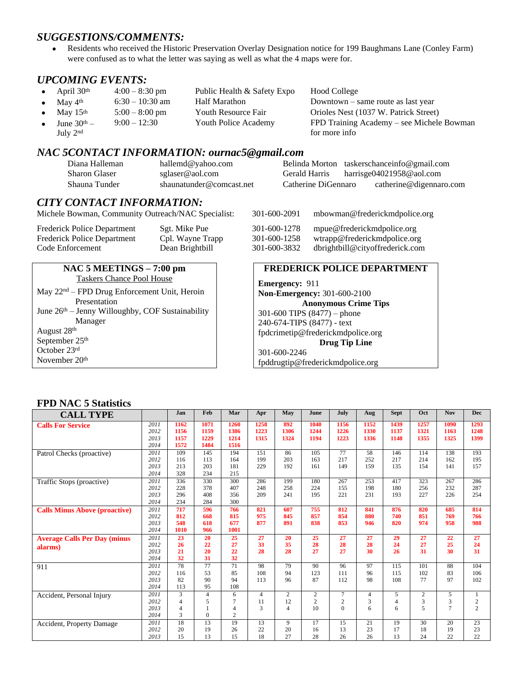## *SUGGESTIONS/COMMENTS:*

 Residents who received the Historic Preservation Overlay Designation notice for 199 Baughmans Lane (Conley Farm) were confused as to what the letter was saying as well as what the 4 maps were for.

### *UPCOMING EVENTS:*

- April 30<sup>th</sup> 4:00 8:30 pm Public Health & Safety Expo Hood College
- May  $4<sup>th</sup>$  6:30 10:30 am Half Marathon Downtown same route as last year
- May 15<sup>th</sup> 5:00 8:00 pm Youth Resource Fair Orioles Nest (1037 W. Patrick Street)
- June  $30<sup>th</sup>$  9:00 – 12:30 Youth Police Academy FPD Training Academy – see Michele Bowman
	- July 2nd

## *NAC 5CONTACT INFORMATION: ournac5@gmail.com*

| Diana Halleman       | hallemd@yahoo.com        |                     | Belinda Morton taskerschanceinfo@gmail.com |
|----------------------|--------------------------|---------------------|--------------------------------------------|
| <b>Sharon Glaser</b> | sglaser@aol.com          | Gerald Harris       | harrisge04021958@aol.com                   |
| Shauna Tunder        | shaunatunder@comcast.net | Catherine DiGennaro | catherine@digennaro.com                    |

### *CITY CONTACT INFORMATION:*

**NAC 5 MEETINGS – 7:00 pm** Taskers Chance Pool House May 22nd – FPD Drug Enforcement Unit, Heroin

June 26<sup>th</sup> – Jenny Willoughby, COF Sustainability

Michele Bowman, Community Outreach/NAC Specialist: 301-600-2091 mbowman@frederickmdpolice.org

| Frederick Police Department        |  |
|------------------------------------|--|
| <b>Frederick Police Department</b> |  |
| Code Enforcement                   |  |

Presentation

Manager

August 28th September 25th October 23rd November 20th

# Sgt. Mike Pue 301-600-1278 mpue@frederickmdpolice.org Cpl. Wayne Trapp 301-600-1258 wtrapp@frederickmdpolice.org Dean Brightbill 301-600-3832 dbrightbill@cityoffrederick.com

for more info

#### **FREDERICK POLICE DEPARTMENT**

**Emergency:** 911 **Non-Emergency:** 301-600-2100 **Anonymous Crime Tips** 301-600 TIPS (8477) – phone 240-674-TIPS (8477) - text [fpdcrimetip@frederickmdpolice.org](mailto:fpdcrimetip@frederickmdpolice.org) **Drug Tip Line** 301-600-2246 fpddrugtip@frederickmdpolice.org

### **FPD NAC 5 Statistics**

| <b>CALL TYPE</b>                     |      | Jan            | Feb            | Mar            | Apr            | May              | June                    | July           | Aug            | <b>Sept</b>    | Oct        | <b>Nov</b>     | <b>Dec</b>     |
|--------------------------------------|------|----------------|----------------|----------------|----------------|------------------|-------------------------|----------------|----------------|----------------|------------|----------------|----------------|
| <b>Calls For Service</b>             | 2011 | 1162           | 1071           | 1260           | 1258           | 892              | 1040                    | 1156           | 1152           | 1439           | 1257       | 1090           | 1293           |
|                                      | 2012 | 1156           | 1159           | 1386           | 1223           | 1306             | 1244                    | 1226           | 1330           | 1137           | 1321       | 1163           | 1248           |
|                                      | 2013 | 1157           | 1229           | 1214           | 1315           | 1324             | 1194                    | 1223           | 1336           | 1148           | 1355       | 1325           | 1399           |
|                                      | 2014 | 1572           | 1484           | 1516           |                |                  |                         |                |                |                |            |                |                |
| Patrol Checks (proactive)            | 2011 | 109            | 145            | 194            | 151            | 86               | 105                     | 77             | 58             | 146            | 114        | 138            | 193            |
|                                      | 2012 | 116            | 113            | 164            | 199            | 203              | 163                     | 217            | 252            | 217            | 214        | 162            | 195            |
|                                      | 2013 | 213            | 203            | 181            | 229            | 192              | 161                     | 149            | 159            | 135            | 154        | 141            | 157            |
|                                      | 2014 | 328            | 234            | 215            |                |                  |                         |                |                |                |            |                |                |
| Traffic Stops (proactive)            | 2011 | 336            | 330            | 300            | 286            | 199              | 180                     | 267            | 253            | 417            | 323        | 267            | 286            |
|                                      | 2012 | 228            | 378            | 407            | 248            | 258              | 224                     | 155            | 198            | 180            | 256        | 232            | 287            |
|                                      | 2013 | 296            | 408            | 356            | 209            | 241              | 195                     | 221            | 231            | 193            | 227        | 226            | 254            |
|                                      | 2014 | 234            | 284            | 300            |                |                  |                         |                |                |                |            |                |                |
| <b>Calls Minus Above (proactive)</b> | 2011 | 717            | 596            | 766            | 821            | 607              | 755                     | 812            | 841            | 876            | 820        | 685            | 814            |
|                                      | 2012 | 812            | 668            | 815            | 975            | 845              | 857                     | 854            | 880            | 740            | 851        | 769            | 766            |
|                                      | 2013 | 548            | 618            | 677            | 877            | 891              | 838                     | 853            | 946            | 820            | 974        | 958            | 988            |
|                                      | 2014 | 1010           | 966            | 1001           |                |                  |                         |                |                |                |            |                |                |
| <b>Average Calls Per Day (minus</b>  | 2011 | 23             | 20             | 25             | 27             | 20               | 25                      | 27             | 27             | 29             | 27         | 22             | 27             |
| alarms)                              | 2012 | 26             | 22             | 27             | 33             | 35               | 28                      | 28             | 28             | 24             | 27         | 25             | 24             |
|                                      | 2013 | 21             | 20             | 22             | 28             | 28               | 27                      | 27             | 30             | 26             | 31         | 30             | 31             |
|                                      | 2014 | 32             | 31             | 32             |                |                  |                         |                |                |                |            |                |                |
| 911                                  | 2011 | 78             | 77             | 71             | 98             | 79               | 90                      | 96             | 97             | 115            | 101        | 88             | 104            |
|                                      | 2012 | 116            | 53             | 85             | 108            | 94               | 123                     | 111            | 96             | 115            | 102        | 83             | 106            |
|                                      | 2013 | 82             | 90             | 94             | 113            | 96               | 87                      | 112            | 98             | 108            | 77         | 97             | 102            |
|                                      | 2014 | 113            | 95             | 108            |                |                  |                         |                |                |                |            |                |                |
| Accident, Personal Injury            | 2011 | 3              | $\overline{4}$ | 6              | $\overline{4}$ | $\boldsymbol{2}$ | $\overline{\mathbf{c}}$ | $\tau$         | $\overline{4}$ | 5              | $\sqrt{2}$ | 5              | 1              |
|                                      | 2012 | $\overline{4}$ | 5              |                | 11             | 12               | $\overline{c}$          | $\overline{c}$ | 3              | $\overline{4}$ | 3          | 3              | $\sqrt{2}$     |
|                                      | 2013 | $\overline{4}$ |                | $\overline{4}$ | 3              | $\overline{4}$   | 10                      | $\theta$       | 6              | 6              | 5          | $\overline{7}$ | $\overline{c}$ |
|                                      | 2014 | 3              | $\Omega$       | $\overline{2}$ |                |                  |                         |                |                |                |            |                |                |
| Accident, Property Damage            | 2011 | 18             | 13             | 19             | 13             | 9                | 17                      | 15             | 21             | 19             | 30         | 20             | 23             |
|                                      | 2012 | 20             | 19             | 26             | 22             | 20               | 16                      | 13             | 23             | 17             | 18         | 19             | 23             |
|                                      | 2013 | 15             | 13             | 15             | 18             | 27               | 28                      | 26             | 26             | 13             | 24         | 22             | 22             |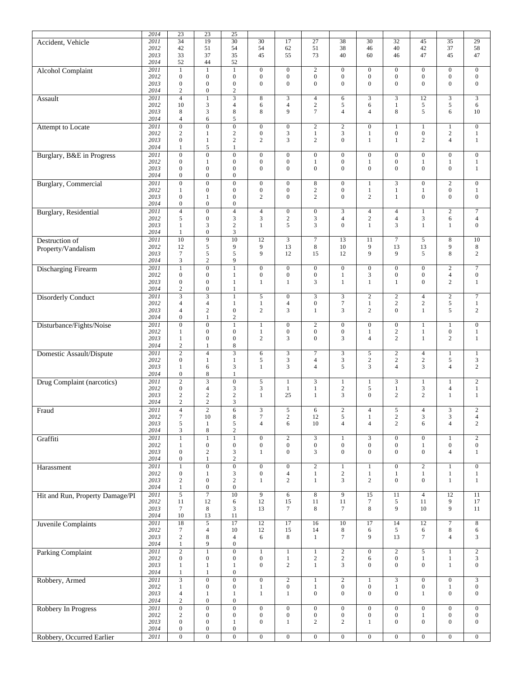|                                 | 2014 | $\overline{23}$  | $\overline{23}$         | $\overline{25}$  |                  |                  |                  |                  |                  |                  |                  |                  |                    |
|---------------------------------|------|------------------|-------------------------|------------------|------------------|------------------|------------------|------------------|------------------|------------------|------------------|------------------|--------------------|
|                                 |      | $\overline{34}$  | 19                      | $\overline{30}$  |                  |                  |                  |                  | 30               |                  |                  |                  |                    |
| Accident, Vehicle               | 2011 |                  |                         |                  | 30               | 17               | 27               | 38               |                  | 32               | 45               | 35               | 29                 |
|                                 | 2012 | 42               | 51                      | 54               | 54               | 62               | 51               | 38               | 46               | 40               | 42               | 37               | 58                 |
|                                 | 2013 | 33               | 37                      | 35               | 45               | 55               | 73               | 40               | 60               | 46               | 47               | 45               | 47                 |
|                                 | 2014 | 52               | 44                      | 52               |                  |                  |                  |                  |                  |                  |                  |                  |                    |
| <b>Alcohol Complaint</b>        | 2011 | $1\,$            | $\mathbf{1}$            | $\mathbf{1}$     | $\mathbf{0}$     | $\mathbf{0}$     | $\overline{2}$   | $\mathbf{0}$     | $\overline{0}$   | $\overline{0}$   | $\mathbf{0}$     | $\overline{0}$   | $\boldsymbol{0}$   |
|                                 | 2012 | $\overline{0}$   | $\boldsymbol{0}$        | $\boldsymbol{0}$ | $\mathbf{0}$     | $\mathbf{0}$     | $\boldsymbol{0}$ | $\mathbf{0}$     | $\boldsymbol{0}$ | $\mathbf{0}$     | $\mathbf{0}$     | $\boldsymbol{0}$ | $\boldsymbol{0}$   |
|                                 | 2013 | $\boldsymbol{0}$ | $\boldsymbol{0}$        | $\boldsymbol{0}$ | $\overline{0}$   | $\mathbf{0}$     | $\boldsymbol{0}$ | $\mathbf{0}$     | $\overline{0}$   | $\overline{0}$   | $\mathbf{0}$     | $\boldsymbol{0}$ | $\boldsymbol{0}$   |
|                                 | 2014 | $\boldsymbol{2}$ | $\boldsymbol{0}$        | $\sqrt{2}$       |                  |                  |                  |                  |                  |                  |                  |                  |                    |
|                                 |      |                  |                         |                  |                  |                  |                  |                  |                  |                  |                  |                  |                    |
| Assault                         | 2011 | $\overline{4}$   | $\overline{1}$          | $\overline{3}$   | $\overline{8}$   | 3                | $\overline{4}$   | 6                | 3                | 3                | 12               | $\overline{3}$   | $\overline{3}$     |
|                                 | 2012 | 10               | 3                       | 4                | 6                | $\overline{4}$   | $\overline{c}$   | 5                | 6                | $\mathbf{1}$     | 5                | 5                | 6                  |
|                                 | 2013 | 8                | 3                       | 8                | 8                | 9                | $\tau$           | $\overline{4}$   | $\overline{4}$   | 8                | 5                | 6                | 10                 |
|                                 | 2014 | $\overline{4}$   | 6                       | 5                |                  |                  |                  |                  |                  |                  |                  |                  |                    |
| Attempt to Locate               | 2011 | $\overline{0}$   | $\overline{0}$          | $\overline{0}$   | $\mathbf{0}$     | $\mathbf{0}$     | $\overline{2}$   | $\sqrt{2}$       | $\overline{0}$   | $\mathbf{1}$     | $\mathbf{1}$     | $\mathbf{1}$     | $\overline{0}$     |
|                                 | 2012 | $\overline{c}$   | $\mathbf{1}$            | $\overline{c}$   | $\boldsymbol{0}$ | 3                | $\mathbf{1}$     | 3                | $\mathbf{1}$     | $\overline{0}$   | $\mathbf{0}$     | $\sqrt{2}$       | 1                  |
|                                 | 2013 | $\boldsymbol{0}$ | $\mathbf{1}$            | $\overline{c}$   | $\overline{c}$   | 3                | $\mathbf{2}$     | $\mathbf{0}$     | $\mathbf{1}$     | $\mathbf{1}$     | $\overline{c}$   | $\overline{4}$   | $\mathbf{1}$       |
|                                 |      |                  |                         |                  |                  |                  |                  |                  |                  |                  |                  |                  |                    |
|                                 | 2014 | 1                | 5                       | $\mathbf{1}$     |                  |                  |                  |                  |                  |                  |                  |                  |                    |
| Burglary, B&E in Progress       | 2011 | $\overline{0}$   | $\overline{0}$          | $\overline{0}$   | $\mathbf{0}$     | $\mathbf{0}$     | $\mathbf{0}$     | $\boldsymbol{0}$ | $\overline{0}$   | $\mathbf{0}$     | $\mathbf{0}$     | $\boldsymbol{0}$ | $\boldsymbol{0}$   |
|                                 | 2012 | $\boldsymbol{0}$ | $\mathbf{1}$            | $\mathbf{0}$     | $\overline{0}$   | $\boldsymbol{0}$ | $\mathbf{1}$     | $\boldsymbol{0}$ | $\,1$            | $\overline{0}$   | $\mathbf{1}$     | $\mathbf{1}$     | $\mathbf{1}$       |
|                                 | 2013 | $\boldsymbol{0}$ | $\mathbf{0}$            | $\boldsymbol{0}$ | $\overline{0}$   | $\Omega$         | $\boldsymbol{0}$ | $\mathbf{0}$     | $\mathbf{0}$     | $\overline{0}$   | $\mathbf{0}$     | $\boldsymbol{0}$ | $\mathbf{1}$       |
|                                 | 2014 | $\overline{0}$   | $\boldsymbol{0}$        | $\mathbf{0}$     |                  |                  |                  |                  |                  |                  |                  |                  |                    |
| <b>Burglary</b> , Commercial    | 2011 | $\overline{0}$   | $\overline{0}$          | $\mathbf{0}$     | $\mathbf{0}$     | $\mathbf{0}$     | $\,8\,$          | $\boldsymbol{0}$ | $\mathbf{1}$     | 3                | $\mathbf{0}$     | $\overline{2}$   | $\boldsymbol{0}$   |
|                                 | 2012 | $\mathbf{1}$     | $\mathbf{0}$            | $\boldsymbol{0}$ | $\overline{0}$   | $\mathbf{0}$     | $\sqrt{2}$       | $\boldsymbol{0}$ | $\mathbf{1}$     | $\mathbf{1}$     | $\mathbf{1}$     | $\boldsymbol{0}$ | $\mathbf{1}$       |
|                                 | 2013 | $\boldsymbol{0}$ | $\mathbf{1}$            | $\boldsymbol{0}$ | 2                | $\mathbf{0}$     | 2                | $\boldsymbol{0}$ | $\overline{c}$   | $\mathbf{1}$     | $\mathbf{0}$     | $\boldsymbol{0}$ | $\boldsymbol{0}$   |
|                                 |      |                  |                         |                  |                  |                  |                  |                  |                  |                  |                  |                  |                    |
|                                 | 2014 | $\boldsymbol{0}$ | $\mathbf{0}$            | $\boldsymbol{0}$ |                  |                  |                  |                  |                  |                  |                  |                  |                    |
| Burglary, Residential           | 2011 | $\overline{4}$   | $\mathbf{0}$            | $\overline{4}$   | $\overline{4}$   | $\boldsymbol{0}$ | $\boldsymbol{0}$ | 3                | $\overline{4}$   | $\overline{4}$   | $\mathbf{1}$     | $\overline{c}$   | $\tau$             |
|                                 | 2012 | 5                | $\boldsymbol{0}$        | 3                | 3                | $\sqrt{2}$       | $\mathfrak{Z}$   | $\overline{4}$   | $\sqrt{2}$       | $\overline{4}$   | $\sqrt{3}$       | 6                | $\overline{4}$     |
|                                 | 2013 | $\mathbf{1}$     | 3                       | $\overline{c}$   | $\mathbf{1}$     | 5                | 3                | $\overline{0}$   | $\mathbf{1}$     | 3                | $\mathbf{1}$     | $\mathbf{1}$     | $\boldsymbol{0}$   |
|                                 | 2014 | $\mathbf{1}$     | $\boldsymbol{0}$        | $\overline{3}$   |                  |                  |                  |                  |                  |                  |                  |                  |                    |
| Destruction of                  | 2011 | 10               | 9                       | 10               | 12               | $\overline{3}$   | $\overline{7}$   | 13               | 11               | $\tau$           | 5                | $\bf 8$          | 10                 |
|                                 | 2012 | 12               | 5                       | 9                | 9                | 13               | $\bf 8$          | 10               | 9                | 13               | 13               | 9                | $\,8\,$            |
| Property/Vandalism              |      |                  |                         |                  |                  |                  |                  |                  |                  |                  |                  |                  |                    |
|                                 | 2013 | $\tau$           | 5                       | 5                | 9                | 12               | 15               | 12               | 9                | 9                | 5                | 8                | 2                  |
|                                 | 2014 | 3                | $\overline{c}$          | 9                |                  |                  |                  |                  |                  |                  |                  |                  |                    |
| <b>Discharging Firearm</b>      | 2011 | $\overline{1}$   | $\overline{0}$          | $\mathbf{1}$     | $\mathbf{0}$     | $\boldsymbol{0}$ | $\overline{0}$   | $\mathbf{0}$     | $\overline{0}$   | $\mathbf{0}$     | $\boldsymbol{0}$ | $\overline{2}$   | $\overline{7}$     |
|                                 | 2012 | $\boldsymbol{0}$ | $\boldsymbol{0}$        | $\mathbf{1}$     | $\overline{0}$   | $\boldsymbol{0}$ | $\boldsymbol{0}$ | $\mathbf{1}$     | 3                | $\overline{0}$   | $\mathbf{0}$     | $\overline{4}$   | $\boldsymbol{0}$   |
|                                 | 2013 | $\boldsymbol{0}$ | $\boldsymbol{0}$        | $\mathbf{1}$     | $\mathbf{1}$     | $\mathbf{1}$     | 3                | $\mathbf{1}$     | $\mathbf{1}$     | $\mathbf{1}$     | $\theta$         | $\overline{c}$   | $\mathbf{1}$       |
|                                 | 2014 | $\sqrt{2}$       | $\boldsymbol{0}$        | $\mathbf{1}$     |                  |                  |                  |                  |                  |                  |                  |                  |                    |
|                                 | 2011 | $\overline{3}$   | $\overline{\mathbf{3}}$ | $\mathbf{1}$     | 5                | $\boldsymbol{0}$ | $\overline{3}$   | 3                | $\mathbf{2}$     | $\overline{c}$   | $\overline{4}$   | $\overline{2}$   | $\overline{7}$     |
| <b>Disorderly Conduct</b>       |      |                  |                         |                  |                  |                  |                  |                  |                  |                  |                  |                  |                    |
|                                 | 2012 | $\overline{4}$   | $\overline{4}$          | 1                | $\mathbf{1}$     | $\overline{4}$   | $\boldsymbol{0}$ | $\boldsymbol{7}$ | $\mathbf{1}$     | $\overline{c}$   | $\sqrt{2}$       | 5                | $\mathbf{1}$       |
|                                 | 2013 | $\overline{4}$   | $\sqrt{2}$              | $\boldsymbol{0}$ | $\overline{c}$   | 3                | $\mathbf{1}$     | 3                | $\overline{2}$   | $\overline{0}$   | $\mathbf{1}$     | 5                | $\overline{c}$     |
|                                 | 2014 | $\boldsymbol{0}$ | $\mathbf{1}$            | $\overline{c}$   |                  |                  |                  |                  |                  |                  |                  |                  |                    |
| Disturbance/Fights/Noise        | 2011 | $\overline{0}$   | $\overline{0}$          | $\mathbf{1}$     | 1                | $\mathbf{0}$     | $\overline{2}$   | $\mathbf{0}$     | $\boldsymbol{0}$ | $\mathbf{0}$     | $\mathbf{1}$     | 1                | $\mathbf{0}$       |
|                                 | 2012 | $\mathbf{1}$     | $\boldsymbol{0}$        | $\boldsymbol{0}$ | $\mathbf{1}$     | $\boldsymbol{0}$ | $\boldsymbol{0}$ | $\boldsymbol{0}$ | $\mathbf{1}$     | $\overline{c}$   | $\mathbf{1}$     | $\boldsymbol{0}$ | $\mathbf{1}$       |
|                                 | 2013 | $\mathbf{1}$     | $\boldsymbol{0}$        | $\boldsymbol{0}$ | $\overline{2}$   | 3                | $\mathbf{0}$     | 3                | $\overline{4}$   | $\overline{2}$   | $\mathbf{1}$     | $\overline{c}$   | $\mathbf{1}$       |
|                                 | 2014 | $\sqrt{2}$       | $\mathbf{1}$            | 8                |                  |                  |                  |                  |                  |                  |                  |                  |                    |
|                                 | 2011 | $\overline{2}$   | $\overline{4}$          | $\overline{3}$   |                  |                  |                  |                  |                  |                  |                  |                  |                    |
| Domestic Assault/Dispute        |      |                  |                         |                  | 6                | 3                | $\boldsymbol{7}$ | 3                | 5                | $\overline{c}$   | $\overline{4}$   | $\mathbf{1}$     | $\mathbf{1}$       |
|                                 | 2012 | $\overline{0}$   | $\mathbf{1}$            | $\mathbf{1}$     | 5                | 3                | $\overline{4}$   | 3                | $\sqrt{2}$       | $\overline{c}$   | $\sqrt{2}$       | 5                | 3                  |
|                                 | 2013 | $\mathbf{1}$     | 6                       | 3                | $\mathbf{1}$     | 3                | $\overline{4}$   | 5                | 3                | $\overline{4}$   | $\overline{3}$   | $\overline{4}$   | $\mathbf{2}$       |
|                                 | 2014 | $\boldsymbol{0}$ | 8                       | $\mathbf{1}$     |                  |                  |                  |                  |                  |                  |                  |                  |                    |
| Drug Complaint (narcotics)      | 2011 | $\overline{2}$   | $\overline{3}$          | $\overline{0}$   | 5                | 1                | 3                | 1                | 1                | 3                | $\mathbf{1}$     | $\mathbf{1}$     | $\overline{c}$     |
|                                 | 2012 | $\overline{0}$   | $\overline{4}$          | 3                | 3                | $\mathbf{1}$     | $\mathbf{1}$     | $\sqrt{2}$       | 5                | $\mathbf{1}$     | $\mathfrak{Z}$   | $\overline{4}$   | $\mathbf{1}$       |
|                                 | 2013 | $\sqrt{2}$       | $\sqrt{2}$              | $\overline{c}$   | $\mathbf{1}$     | 25               | $\mathbf{1}$     | 3                | $\mathbf{0}$     | $\overline{2}$   | $\overline{c}$   | $\mathbf{1}$     | $\mathbf{1}$       |
|                                 | 2014 | $\boldsymbol{2}$ | $\sqrt{2}$              | 3                |                  |                  |                  |                  |                  |                  |                  |                  |                    |
|                                 |      |                  |                         |                  |                  |                  |                  |                  |                  |                  |                  |                  |                    |
| Fraud                           | 2011 | $\overline{4}$   | $\overline{2}$          | 6                | 3                | 5                | 6                | $\mathbf{2}$     | $\overline{4}$   | 5                | $\overline{4}$   | 3                | $\overline{c}$     |
|                                 | 2012 | $\boldsymbol{7}$ | 10                      | 8                | $\boldsymbol{7}$ | $\overline{c}$   | 12               | $\sqrt{5}$       | 1                | $\overline{2}$   | $\sqrt{3}$       | 3                | $\overline{4}$     |
|                                 | 2013 | 5                | $\mathbf{1}$            | 5                | $\overline{4}$   | 6                | 10               | $\overline{4}$   | $\overline{4}$   | $\overline{c}$   | 6                | $\overline{4}$   | 2                  |
|                                 | 2014 | 3                | $\,$ 8 $\,$             | $\overline{c}$   |                  |                  |                  |                  |                  |                  |                  |                  |                    |
| Graffiti                        | 2011 | $\,1$            | $\,1\,$                 | $\,1$            | $\boldsymbol{0}$ | $\sqrt{2}$       | $\mathfrak{Z}$   | $\mathbf{1}$     | 3                | $\overline{0}$   | $\mathbf{0}$     | $\mathbf{1}$     | $\sqrt{2}$         |
|                                 | 2012 | $\mathbf{1}$     | $\boldsymbol{0}$        | $\boldsymbol{0}$ | $\boldsymbol{0}$ | $\mathbf{0}$     | $\boldsymbol{0}$ | $\boldsymbol{0}$ | $\boldsymbol{0}$ | $\overline{0}$   | $\mathbf{1}$     | $\boldsymbol{0}$ | $\boldsymbol{0}$   |
|                                 | 2013 | $\boldsymbol{0}$ | $\sqrt{2}$              | 3                | $\mathbf{1}$     | $\mathbf{0}$     | $\mathfrak{Z}$   | $\mathbf{0}$     | $\overline{0}$   | $\overline{0}$   | $\mathbf{0}$     | $\overline{4}$   | $\mathbf{1}$       |
|                                 | 2014 | $\boldsymbol{0}$ | $\,1\,$                 | $\overline{c}$   |                  |                  |                  |                  |                  |                  |                  |                  |                    |
|                                 |      |                  |                         |                  |                  |                  |                  |                  |                  |                  |                  |                  |                    |
| Harassment                      | 2011 | $\overline{1}$   | $\overline{0}$          | $\overline{0}$   | $\boldsymbol{0}$ | $\boldsymbol{0}$ | $\overline{2}$   | $\mathbf{1}$     | $\mathbf{1}$     | $\mathbf{0}$     | $\overline{2}$   | $\mathbf{1}$     | $\overline{0}$     |
|                                 | 2012 | $\boldsymbol{0}$ | $\mathbf{1}$            | 3                | $\boldsymbol{0}$ | $\overline{4}$   | $\mathbf{1}$     | $\overline{c}$   | $\mathbf{1}$     | $\mathbf{1}$     | $\mathbf{1}$     | $\mathbf{1}$     | $\mathbf{1}$       |
|                                 | 2013 | $\overline{c}$   | $\boldsymbol{0}$        | $\sqrt{2}$       | $\mathbf{1}$     | $\overline{c}$   | $\mathbf{1}$     | 3                | 2                | $\mathbf{0}$     | $\mathbf{0}$     | $\mathbf{1}$     | $\mathbf{1}$       |
|                                 | 2014 | $\mathbf{1}$     | $\boldsymbol{0}$        | $\boldsymbol{0}$ |                  |                  |                  |                  |                  |                  |                  |                  |                    |
| Hit and Run, Property Damage/PI | 2011 | $\mathfrak{S}$   | $\overline{7}$          | 10               | 9                | 6                | $\,8\,$          | $\boldsymbol{9}$ | 15               | 11               | $\overline{4}$   | 12               | 11                 |
|                                 | 2012 | 11               | 12                      | 6                | 12               | 15               | 11               | 11               | $\boldsymbol{7}$ | 5                | 11               | 9                | 17                 |
|                                 | 2013 | $\tau$           | 8                       | 3                | 13               | $\tau$           | $\bf 8$          | $7\phantom{.0}$  | 8                | 9                | 10               | 9                | 11                 |
|                                 | 2014 | 10               | 13                      | 11               |                  |                  |                  |                  |                  |                  |                  |                  |                    |
|                                 |      |                  |                         |                  |                  |                  |                  |                  |                  |                  |                  |                  |                    |
| Juvenile Complaints             | 2011 | $\overline{18}$  | $\overline{5}$          | $\overline{17}$  | $\overline{12}$  | $\overline{17}$  | $\overline{16}$  | $\overline{10}$  | $\overline{17}$  | $\overline{14}$  | $\overline{12}$  | $\overline{7}$   | $\overline{\bf 8}$ |
|                                 | 2012 | $\tau$           | $\overline{4}$          | 10               | 12               | 15               | 14               | $\,8\,$          | 6                | 5                | 6                | 8                | 6                  |
|                                 | 2013 | $\overline{c}$   | 8                       | $\overline{4}$   | 6                | 8                | $\mathbf{1}$     | $\tau$           | 9                | 13               | $7\phantom{.0}$  | $\overline{4}$   | 3                  |
|                                 | 2014 | $\mathbf{1}$     | 9                       | $\boldsymbol{0}$ |                  |                  |                  |                  |                  |                  |                  |                  |                    |
| <b>Parking Complaint</b>        | 2011 | $\sqrt{2}$       | $\overline{1}$          | $\overline{0}$   | $\mathbf{1}$     | $\mathbf{1}$     | $\mathbf 1$      | $\sqrt{2}$       | $\overline{0}$   | $\overline{2}$   | $\sqrt{5}$       | $\mathbf{1}$     | $\overline{2}$     |
|                                 | 2012 | $\boldsymbol{0}$ | $\boldsymbol{0}$        | $\boldsymbol{0}$ | $\boldsymbol{0}$ | $\mathbf{1}$     | $\sqrt{2}$       | $\sqrt{2}$       | 6                | $\boldsymbol{0}$ | $\mathbf{1}$     | $\mathbf{1}$     | 3                  |
|                                 | 2013 |                  |                         |                  | $\overline{0}$   | $\overline{c}$   | $\mathbf{1}$     | 3                | $\boldsymbol{0}$ | $\overline{0}$   | $\mathbf{0}$     | $\mathbf{1}$     | $\boldsymbol{0}$   |
|                                 |      | $\mathbf{1}$     | $\mathbf{1}$            | $\mathbf{1}$     |                  |                  |                  |                  |                  |                  |                  |                  |                    |
|                                 | 2014 | $\mathbf{1}$     | $\mathbf{1}$            | $\boldsymbol{0}$ |                  |                  |                  |                  |                  |                  |                  |                  |                    |
| Robbery, Armed                  | 2011 | $\overline{3}$   | $\overline{0}$          | $\overline{0}$   | $\overline{0}$   | $\boldsymbol{2}$ | $\mathbf{1}$     | $\sqrt{2}$       | $\mathbf{1}$     | 3                | $\boldsymbol{0}$ | $\overline{0}$   | $\overline{3}$     |
|                                 | 2012 | $\mathbf{1}$     | $\boldsymbol{0}$        | $\boldsymbol{0}$ | $\mathbf{1}$     | $\boldsymbol{0}$ | $\mathbf{1}$     | $\boldsymbol{0}$ | $\boldsymbol{0}$ | $\mathbf{1}$     | $\boldsymbol{0}$ | $\mathbf{1}$     | $\boldsymbol{0}$   |
|                                 | 2013 | $\overline{4}$   | 1                       | $\mathbf{1}$     | $\mathbf{1}$     | $\mathbf{1}$     | $\boldsymbol{0}$ | $\mathbf{0}$     | $\mathbf{0}$     | $\overline{0}$   | $\mathbf{1}$     | $\boldsymbol{0}$ | $\boldsymbol{0}$   |
|                                 | 2014 | $\overline{c}$   | $\boldsymbol{0}$        | $\boldsymbol{0}$ |                  |                  |                  |                  |                  |                  |                  |                  |                    |
|                                 | 2011 | $\boldsymbol{0}$ | $\overline{0}$          | $\overline{0}$   | $\mathbf{0}$     | $\mathbf{0}$     | $\boldsymbol{0}$ | $\boldsymbol{0}$ | $\boldsymbol{0}$ | $\overline{0}$   | $\boldsymbol{0}$ | $\overline{0}$   | $\boldsymbol{0}$   |
| Robbery In Progress             |      |                  |                         |                  |                  |                  |                  |                  |                  |                  |                  |                  |                    |
|                                 | 2012 | $\overline{c}$   | $\boldsymbol{0}$        | $\boldsymbol{0}$ | $\overline{0}$   | $\boldsymbol{0}$ | $\boldsymbol{0}$ | $\boldsymbol{0}$ | $\boldsymbol{0}$ | $\overline{0}$   | $\mathbf{1}$     | $\boldsymbol{0}$ | $\boldsymbol{0}$   |
|                                 | 2013 | $\boldsymbol{0}$ | $\boldsymbol{0}$        | $\mathbf{1}$     | $\mathbf{0}$     | $\mathbf{1}$     | $\overline{c}$   | $\overline{c}$   | $\mathbf{1}$     | $\mathbf{0}$     | $\boldsymbol{0}$ | $\boldsymbol{0}$ | $\boldsymbol{0}$   |
|                                 | 2014 | $\boldsymbol{0}$ | $\boldsymbol{0}$        | $\mathbf{0}$     |                  |                  |                  |                  |                  |                  |                  |                  |                    |
| Robbery, Occurred Earlier       | 2011 | $\overline{0}$   | $\boldsymbol{0}$        | $\overline{0}$   | $\overline{0}$   | $\overline{0}$   | $\overline{0}$   | $\boldsymbol{0}$ | $\overline{0}$   | $\overline{0}$   | $\boldsymbol{0}$ | $\overline{0}$   | $\boldsymbol{0}$   |
|                                 |      |                  |                         |                  |                  |                  |                  |                  |                  |                  |                  |                  |                    |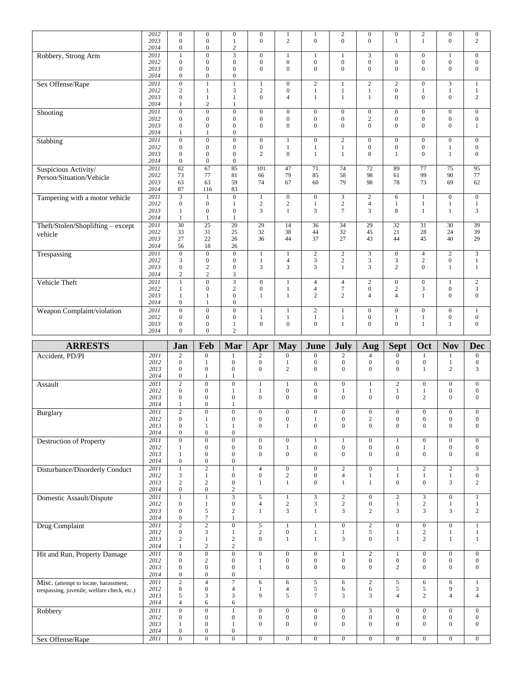|                                                                                      | 2012<br>2013 | $\boldsymbol{0}$<br>$\mathbf{0}$     | $\boldsymbol{0}$<br>$\mathbf{0}$     | $\boldsymbol{0}$<br>$\mathbf{1}$            | $\boldsymbol{0}$<br>$\mathbf{0}$     | 1<br>$\overline{c}$                  | $\mathbf{1}$<br>$\mathbf{0}$         | $\sqrt{2}$<br>$\Omega$               | $\boldsymbol{0}$<br>$\overline{0}$ | $\boldsymbol{0}$<br>$\mathbf{1}$     | $\sqrt{2}$<br>$\mathbf{1}$           | $\boldsymbol{0}$<br>$\mathbf{0}$     | $\boldsymbol{0}$<br>$\overline{c}$   |
|--------------------------------------------------------------------------------------|--------------|--------------------------------------|--------------------------------------|---------------------------------------------|--------------------------------------|--------------------------------------|--------------------------------------|--------------------------------------|------------------------------------|--------------------------------------|--------------------------------------|--------------------------------------|--------------------------------------|
|                                                                                      | 2014<br>2011 | $\boldsymbol{0}$<br>$\mathbf{1}$     | $\boldsymbol{0}$<br>$\overline{0}$   | $\boldsymbol{2}$<br>$\overline{\mathbf{3}}$ | $\boldsymbol{0}$                     |                                      | $\mathbf{1}$                         | 1                                    | 3                                  | $\mathbf{0}$                         | $\mathbf{0}$                         | $\mathbf{1}$                         | $\overline{0}$                       |
| Robbery, Strong Arm                                                                  | 2012         | $\boldsymbol{0}$                     | $\boldsymbol{0}$                     | $\mathbf{0}$                                | $\mathbf{0}$                         | $\mathbf{0}$                         | $\boldsymbol{0}$                     | $\mathbf{0}$                         | $\boldsymbol{0}$                   | $\boldsymbol{0}$                     | $\mathbf{0}$                         | $\boldsymbol{0}$                     | $\mathbf{0}$                         |
|                                                                                      | 2013         | $\boldsymbol{0}$                     | $\mathbf{0}$                         | $\mathbf{0}$                                | $\mathbf{0}$                         | $\mathbf{0}$                         | $\mathbf{0}$                         | $\mathbf{0}$                         | $\overline{0}$                     | $\mathbf{0}$                         | $\mathbf{0}$                         | $\mathbf{0}$                         | $\mathbf{0}$                         |
|                                                                                      | 2014<br>2011 | $\boldsymbol{0}$<br>$\boldsymbol{0}$ | $\boldsymbol{0}$<br>$\mathbf{1}$     | $\boldsymbol{0}$<br>$\mathbf{1}$            |                                      | $\mathbf{0}$                         | $\mathbf{2}$                         | 1                                    | $\overline{c}$                     | $\overline{c}$                       | $\mathbf{0}$                         | 3                                    |                                      |
| Sex Offense/Rape                                                                     | 2012         | $\overline{c}$                       | $\mathbf{1}$                         | 3                                           | $\mathbf{1}$<br>$\mathbf{2}$         | $\boldsymbol{0}$                     | $\mathbf{1}$                         | $\mathbf{1}$                         | $\mathbf{1}$                       | $\mathbf{0}$                         | 1                                    | $\mathbf{1}$                         | 1<br>$\mathbf{1}$                    |
|                                                                                      | 2013         | $\mathbf{0}$                         | $\mathbf{1}$                         | $\mathbf{1}$                                | $\mathbf{0}$                         | $\overline{4}$                       | $\mathbf{1}$                         | $\mathbf{1}$                         | 1                                  | $\mathbf{0}$                         | $\theta$                             | $\mathbf{0}$                         | $\overline{c}$                       |
|                                                                                      | 2014<br>2011 | 1<br>$\overline{0}$                  | $\sqrt{2}$<br>$\overline{0}$         | $\mathbf{1}$<br>$\overline{0}$              | $\boldsymbol{0}$                     |                                      | $\boldsymbol{0}$                     | $\boldsymbol{0}$                     | $\boldsymbol{0}$                   |                                      |                                      | $\boldsymbol{0}$                     | $\mathbf{0}$                         |
| Shooting                                                                             | 2012         | $\boldsymbol{0}$                     | $\boldsymbol{0}$                     | $\mathbf{0}$                                | $\boldsymbol{0}$                     | $\boldsymbol{0}$<br>$\mathbf{0}$     | $\boldsymbol{0}$                     | $\boldsymbol{0}$                     | $\mathbf{2}$                       | $\boldsymbol{0}$<br>$\mathbf{0}$     | $\boldsymbol{0}$<br>$\mathbf{0}$     | $\boldsymbol{0}$                     | $\mathbf{0}$                         |
|                                                                                      | 2013         | $\boldsymbol{0}$                     | $\boldsymbol{0}$                     | $\mathbf{0}$                                | $\mathbf{0}$                         | $\mathbf{0}$                         | $\mathbf{0}$                         | $\mathbf{0}$                         | $\Omega$                           | $\mathbf{0}$                         | $\Omega$                             | $\mathbf{0}$                         | $\mathbf{1}$                         |
|                                                                                      | 2014<br>2011 | $\mathbf{1}$<br>$\boldsymbol{0}$     | $\mathbf{1}$                         | $\boldsymbol{0}$<br>$\overline{0}$          |                                      |                                      |                                      |                                      | $\mathbf{0}$                       |                                      | $\mathbf{0}$                         |                                      |                                      |
| Stabbing                                                                             | 2012         | $\boldsymbol{0}$                     | $\boldsymbol{0}$<br>$\boldsymbol{0}$ | $\boldsymbol{0}$                            | $\boldsymbol{0}$<br>$\mathbf{0}$     | $\mathbf{1}$<br>$\mathbf{1}$         | $\boldsymbol{0}$<br>$\mathbf{1}$     | $\overline{c}$<br>$\mathbf{1}$       | $\boldsymbol{0}$                   | $\mathbf{0}$<br>$\mathbf{0}$         | $\mathbf{0}$                         | $\mathbf{0}$<br>$\mathbf{1}$         | $\mathbf{0}$<br>$\mathbf{0}$         |
|                                                                                      | 2013         | $\mathbf{0}$                         | $\boldsymbol{0}$                     | $\mathbf{0}$                                | 2                                    | $\mathbf{0}$                         | $\mathbf{1}$                         | 1                                    | $\overline{0}$                     | $\mathbf{1}$                         | $\mathbf{0}$                         | $\mathbf{1}$                         | $\overline{0}$                       |
|                                                                                      | 2014<br>2011 | $\boldsymbol{0}$<br>$\overline{82}$  | $\mathbf{0}$<br>67                   | $\mathbf{0}$<br>85                          | 101                                  | 47                                   | 71                                   | 74                                   | $\overline{72}$                    | 89                                   | $\overline{77}$                      | 75                                   | 95                                   |
| Suspicious Activity/<br>Person/Situation/Vehicle                                     | 2012         | 73                                   | 77                                   | 81                                          | 66                                   | 79                                   | 85                                   | 58                                   | 98                                 | 61                                   | 99                                   | 90                                   | 77                                   |
|                                                                                      | 2013         | 63                                   | 63                                   | 59                                          | 74                                   | 67                                   | 60                                   | 79                                   | 98                                 | 78                                   | 73                                   | 69                                   | 62                                   |
|                                                                                      | 2014<br>2011 | 87<br>$\overline{3}$                 | 116<br>$\mathbf{1}$                  | 83<br>$\overline{0}$                        | $\mathbf{1}$                         | $\overline{0}$                       | $\overline{0}$                       | $\overline{3}$                       | $\sqrt{2}$                         | 6                                    | $\mathbf{1}$                         | $\overline{0}$                       | $\mathbf{0}$                         |
| Tampering with a motor vehicle                                                       | 2012         | $\boldsymbol{0}$                     | $\boldsymbol{0}$                     | 1                                           | $\mathbf{2}$                         | $\overline{c}$                       | 1                                    | $\mathbf{2}$                         | $\overline{4}$                     | 1                                    | 1                                    | $\mathbf{1}$                         | $\mathbf{1}$                         |
|                                                                                      | 2013         | $\mathbf{1}$                         | $\boldsymbol{0}$                     | $\mathbf{0}$                                | 3                                    | $\mathbf{1}$                         | 3                                    | $\tau$                               | 3                                  | 8                                    | $\mathbf{1}$                         | $\mathbf{1}$                         | 3                                    |
| Theft/Stolen/Shoplifting - except                                                    | 2014<br>2011 | $\mathbf{1}$<br>$\overline{30}$      | $\mathbf{1}$<br>$\overline{25}$      | 1<br>$\overline{20}$                        | $\overline{29}$                      | 14                                   | $\overline{36}$                      | 34                                   | 29                                 | $\overline{32}$                      | $\overline{31}$                      | $\overline{30}$                      | 39                                   |
| vehicle                                                                              | 2012         | 33                                   | 31                                   | 25                                          | 32                                   | 38                                   | 44                                   | 32                                   | 45                                 | 21                                   | 28                                   | 24                                   | 39                                   |
|                                                                                      | 2013         | 27                                   | 22                                   | 26                                          | 36                                   | 44                                   | 37                                   | 27                                   | 43                                 | 44                                   | 45                                   | 40                                   | 29                                   |
| Trespassing                                                                          | 2014<br>2011 | 56<br>$\overline{0}$                 | 18<br>$\overline{0}$                 | 26<br>$\overline{0}$                        | $\mathbf{1}$                         | $\mathbf{1}$                         | $\overline{2}$                       | $\overline{2}$                       | $\overline{3}$                     | $\overline{0}$                       | $\overline{4}$                       | $\overline{2}$                       | $\overline{3}$                       |
|                                                                                      | 2012         | 3                                    | $\boldsymbol{0}$                     | $\boldsymbol{0}$                            | $\mathbf{1}$                         | $\overline{4}$                       | $\mathfrak{Z}$                       | $\sqrt{2}$                           | $\sqrt{3}$                         | $\mathfrak{Z}$                       | $\sqrt{2}$                           | $\boldsymbol{0}$                     | $\mathbf{1}$                         |
|                                                                                      | 2013<br>2014 | $\boldsymbol{0}$<br>$\sqrt{2}$       | $\mathbf{2}$<br>$\sqrt{2}$           | $\boldsymbol{0}$<br>3                       | 3                                    | 3                                    | 3                                    | $\mathbf{1}$                         | $\overline{3}$                     | $\overline{2}$                       | $\mathbf{0}$                         | $\mathbf{1}$                         | $\mathbf{1}$                         |
| Vehicle Theft                                                                        | 2011         | $\overline{1}$                       | $\overline{0}$                       |                                             | $\overline{0}$                       | $\mathbf{1}$                         | $\overline{4}$                       | $\overline{4}$                       | $\overline{2}$                     | $\overline{0}$                       | $\mathbf{0}$                         | $\mathbf{1}$                         | $\overline{2}$                       |
|                                                                                      | 2012         | $\mathbf{1}$                         | $\boldsymbol{0}$                     | $\overline{c}$                              | $\mathbf{0}$                         | $\mathbf{1}$                         | $\overline{4}$                       | $\boldsymbol{7}$                     | $\boldsymbol{0}$                   | $\mathfrak{2}$                       | 3                                    | $\boldsymbol{0}$                     | 3                                    |
|                                                                                      | 2013<br>2014 | $\mathbf{1}$<br>$\boldsymbol{0}$     | $\mathbf{1}$<br>1                    | $\mathbf{0}$<br>$\boldsymbol{0}$            | $\mathbf{1}$                         | $\mathbf{1}$                         | 2                                    | 2                                    | $\overline{4}$                     | $\overline{4}$                       | $\mathbf{1}$                         | $\mathbf{0}$                         | $\overline{0}$                       |
| Weapon Complaint/violation                                                           | 2011         | $\overline{0}$                       | $\overline{0}$                       | $\overline{0}$                              | $\mathbf{1}$                         | $\mathbf{1}$                         | $\overline{2}$                       | $\mathbf{1}$                         | $\boldsymbol{0}$                   | $\mathbf{0}$                         | $\boldsymbol{0}$                     | $\overline{0}$                       | $\mathbf{1}$                         |
|                                                                                      | 2012         | $\boldsymbol{0}$                     | $\boldsymbol{0}$                     | $\boldsymbol{0}$                            | $\mathbf{1}$                         | $\mathbf{1}$                         | $\mathbf{1}$                         | $\mathbf{1}$                         | $\boldsymbol{0}$                   | $\mathbf{1}$                         | $\mathbf{1}$                         | $\mathbf{0}$                         | $\mathbf{0}$                         |
|                                                                                      | 2013<br>2014 | $\mathbf{0}$<br>$\mathbf{0}$         | $\boldsymbol{0}$<br>$\mathbf{0}$     | $\mathbf{1}$<br>$\overline{c}$              | $\boldsymbol{0}$                     | $\mathbf{0}$                         | $\mathbf{0}$                         | $\mathbf{1}$                         | $\mathbf{0}$                       | $\mathbf{0}$                         | 1                                    | $\mathbf{1}$                         | $\overline{0}$                       |
|                                                                                      |              |                                      |                                      |                                             |                                      |                                      |                                      |                                      |                                    |                                      |                                      |                                      |                                      |
|                                                                                      |              |                                      |                                      |                                             |                                      |                                      |                                      |                                      |                                    |                                      |                                      |                                      |                                      |
| <b>ARRESTS</b>                                                                       |              | Jan                                  | Feb                                  | Mar                                         | Apr                                  | <b>May</b>                           | June                                 | July                                 | Aug                                | <b>Sept</b>                          | Oct                                  | <b>Nov</b>                           | <b>Dec</b>                           |
| Accident, PD/PI                                                                      | 2011         | $\overline{c}$                       | $\boldsymbol{0}$                     | $\mathbf{1}$                                | $\overline{c}$                       | $\boldsymbol{0}$                     | $\boldsymbol{0}$                     | 2                                    | $\overline{4}$                     | $\mathbf{0}$                         | $\mathbf{1}$                         | $\mathbf{1}$                         | $\boldsymbol{0}$                     |
|                                                                                      | 2012<br>2013 | $\mathbf{0}$<br>$\mathbf{0}$         | $\mathbf{1}$<br>$\mathbf{0}$         | $\boldsymbol{0}$<br>$\mathbf{0}$            | $\boldsymbol{0}$<br>$\mathbf{0}$     | $\mathbf{1}$<br>$\overline{c}$       | $\boldsymbol{0}$<br>$\mathbf{0}$     | $\boldsymbol{0}$<br>$\Omega$         | $\boldsymbol{0}$<br>$\mathbf{0}$   | $\mathbf{0}$<br>$\mathbf{0}$         | $\boldsymbol{0}$<br>1                | $\mathbf{1}$<br>$\mathbf{2}$         | $\boldsymbol{0}$<br>3                |
|                                                                                      | 2014         | $\boldsymbol{0}$                     | $\mathbf{1}$                         | $\mathbf{1}$                                |                                      |                                      |                                      |                                      |                                    |                                      |                                      |                                      |                                      |
| Assault                                                                              | 2011         | $\overline{2}$                       | $\boldsymbol{0}$                     | $\boldsymbol{0}$                            | $\mathbf{1}$                         | $\mathbf{1}$                         | $\boldsymbol{0}$                     | $\boldsymbol{0}$                     | $\mathbf{1}$                       | $\overline{c}$                       | $\boldsymbol{0}$                     | $\boldsymbol{0}$                     | $\boldsymbol{0}$                     |
|                                                                                      | 2012<br>2013 | $\mathbf{0}$<br>$\mathbf{0}$         | $\boldsymbol{0}$<br>$\boldsymbol{0}$ | 1<br>$\mathbf{0}$                           | 1<br>$\mathbf{0}$                    | $\boldsymbol{0}$<br>$\mathbf{0}$     | $\boldsymbol{0}$<br>$\boldsymbol{0}$ | 1<br>$\mathbf{0}$                    | $\mathbf{1}$<br>$\mathbf{0}$       | $\mathbf{1}$<br>$\mathbf{0}$         | $\mathbf{1}$<br>$\overline{c}$       | $\boldsymbol{0}$<br>$\mathbf{0}$     | $\boldsymbol{0}$<br>$\mathbf{0}$     |
|                                                                                      | 2014         | $\mathbf{1}$                         | $\overline{0}$                       | 1                                           |                                      |                                      |                                      |                                      |                                    |                                      |                                      |                                      |                                      |
| Burglary                                                                             | 2011<br>2012 | $\overline{2}$<br>$\boldsymbol{0}$   | $\boldsymbol{0}$<br>$\mathbf{1}$     | $\boldsymbol{0}$<br>$\boldsymbol{0}$        | $\boldsymbol{0}$<br>$\boldsymbol{0}$ | $\boldsymbol{0}$<br>$\boldsymbol{0}$ | $\boldsymbol{0}$<br>$\mathbf{1}$     | $\boldsymbol{0}$<br>$\boldsymbol{0}$ | $\boldsymbol{0}$<br>$\sqrt{2}$     | $\boldsymbol{0}$<br>$\boldsymbol{0}$ | $\boldsymbol{0}$<br>$\boldsymbol{0}$ | $\boldsymbol{0}$<br>$\boldsymbol{0}$ | $\boldsymbol{0}$<br>$\boldsymbol{0}$ |
|                                                                                      | 2013         | $\boldsymbol{0}$                     | $\mathbf{1}$                         | $\mathbf{1}$                                | $\boldsymbol{0}$                     | $\mathbf{1}$                         | $\boldsymbol{0}$                     | $\mathbf{0}$                         | $\overline{0}$                     | $\overline{0}$                       | $\mathbf{0}$                         | $\boldsymbol{0}$                     | $\mathbf{0}$                         |
|                                                                                      | 2014         | $\boldsymbol{0}$                     | $\boldsymbol{0}$                     | $\boldsymbol{0}$                            |                                      |                                      |                                      |                                      |                                    |                                      |                                      |                                      |                                      |
| <b>Destruction of Property</b>                                                       | 2011<br>2012 | $\overline{0}$<br>$\mathbf{1}$       | $\overline{0}$<br>$\boldsymbol{0}$   | $\boldsymbol{0}$<br>$\boldsymbol{0}$        | $\overline{0}$<br>$\boldsymbol{0}$   | $\overline{0}$<br>$\mathbf{1}$       | $\mathbf{1}$<br>$\boldsymbol{0}$     | 1<br>$\boldsymbol{0}$                | $\overline{0}$<br>$\boldsymbol{0}$ | $\mathbf{1}$<br>$\boldsymbol{0}$     | $\overline{0}$<br>1                  | $\overline{0}$<br>$\boldsymbol{0}$   | $\boldsymbol{0}$<br>$\boldsymbol{0}$ |
|                                                                                      | 2013         | $\mathbf{1}$                         | $\boldsymbol{0}$                     | $\boldsymbol{0}$                            | $\boldsymbol{0}$                     | $\mathbf{0}$                         | $\mathbf{0}$                         | $\overline{0}$                       | $\overline{0}$                     | $\overline{0}$                       | $\boldsymbol{0}$                     | $\boldsymbol{0}$                     | $\mathbf{0}$                         |
|                                                                                      | 2014         | $\boldsymbol{0}$                     | $\boldsymbol{0}$                     | $\boldsymbol{0}$                            |                                      |                                      |                                      |                                      |                                    |                                      |                                      |                                      |                                      |
| Disturbance/Disorderly Conduct                                                       | 2011<br>2012 | $\overline{1}$<br>$\mathfrak{Z}$     | $\overline{2}$<br>$\mathbf{1}$       | $\mathbf{1}$<br>$\boldsymbol{0}$            | $\overline{4}$<br>$\boldsymbol{0}$   | $\overline{0}$<br>$\sqrt{2}$         | $\overline{0}$<br>$\boldsymbol{0}$   | $\overline{2}$<br>$\overline{4}$     | $\overline{0}$<br>$\mathbf{1}$     | $\mathbf{1}$<br>$\mathbf{1}$         | $\overline{2}$<br>$\mathbf{1}$       | $\overline{2}$<br>$\mathbf{1}$       | $\overline{3}$<br>$\boldsymbol{0}$   |
|                                                                                      | 2013         | $\sqrt{2}$                           | $\sqrt{2}$                           | $\boldsymbol{0}$                            | $\mathbf{1}$                         | $\mathbf{1}$                         | $\boldsymbol{0}$                     | $\mathbf{1}$                         | $\mathbf{1}$                       | $\mathbf{0}$                         | $\boldsymbol{0}$                     | 3                                    | $\overline{c}$                       |
|                                                                                      | 2014         | $\boldsymbol{0}$                     | $\boldsymbol{0}$                     | $\sqrt{2}$                                  |                                      |                                      |                                      |                                      |                                    |                                      |                                      |                                      |                                      |
| Domestic Assault/Dispute                                                             | 2011<br>2012 | $\overline{1}$<br>$\mathbf{0}$       | $\overline{1}$<br>$\mathbf{1}$       | $\overline{3}$<br>$\boldsymbol{0}$          | 5<br>4                               | $\mathbf{1}$<br>$\sqrt{2}$           | $\overline{3}$<br>$\mathfrak{Z}$     | $\overline{c}$<br>$\overline{c}$     | $\overline{0}$<br>$\boldsymbol{0}$ | $\overline{2}$<br>$\mathbf{1}$       | $\overline{3}$<br>$\sqrt{2}$         | $\overline{0}$<br>$\mathbf{1}$       | $\mathbf{1}$<br>$\mathbf{1}$         |
|                                                                                      | 2013         | $\boldsymbol{0}$                     | 5                                    | $\sqrt{2}$                                  | $\mathbf{1}$                         | 3                                    | 1                                    | 3                                    | $\overline{c}$                     | 3                                    | 3                                    | 3                                    | $\overline{c}$                       |
|                                                                                      | 2014         | $\boldsymbol{0}$                     | $\boldsymbol{7}$                     | 1                                           |                                      |                                      |                                      |                                      |                                    |                                      |                                      |                                      |                                      |
| Drug Complaint                                                                       | 2011<br>2012 | $\overline{2}$<br>$\mathbf{0}$       | $\overline{2}$<br>$\mathfrak{Z}$     | $\overline{0}$<br>$\mathbf{1}$              | $\overline{5}$<br>$\mathbf{2}$       | $\mathbf{1}$<br>$\boldsymbol{0}$     | $\mathbf{1}$<br>$1\,$                | $\overline{0}$<br>$\mathbf{1}$       | $\overline{2}$<br>$\sqrt{5}$       | $\overline{0}$<br>$\mathbf{1}$       | $\overline{0}$<br>$\boldsymbol{2}$   | $\overline{0}$<br>$\mathbf{1}$       | $\mathbf{1}$<br>$\mathbf{1}$         |
|                                                                                      | 2013         | $\sqrt{2}$                           | $\mathbf{1}$                         | $\sqrt{2}$                                  | $\overline{0}$                       | $\mathbf{1}$                         | $\mathbf{1}$                         | 3                                    | $\mathbf{0}$                       | $\mathbf{1}$                         | 2                                    | $\mathbf{1}$                         | $\mathbf{1}$                         |
|                                                                                      | 2014<br>2011 | $\mathbf{1}$<br>$\overline{0}$       | $\sqrt{2}$<br>$\overline{0}$         | $\overline{c}$<br>$\overline{0}$            | $\overline{0}$                       | $\boldsymbol{0}$                     | $\overline{0}$                       | 1                                    | $\overline{2}$                     | $\mathbf{1}$                         | $\mathbf{0}$                         | $\overline{0}$                       | $\mathbf{0}$                         |
| Hit and Run, Property Damage                                                         | 2012         | $\boldsymbol{0}$                     | $\sqrt{2}$                           | $\boldsymbol{0}$                            | $\mathbf{1}$                         | $\boldsymbol{0}$                     | $\boldsymbol{0}$                     | $\boldsymbol{0}$                     | $\boldsymbol{0}$                   | $\boldsymbol{0}$                     | $\boldsymbol{0}$                     | $\boldsymbol{0}$                     | $\boldsymbol{0}$                     |
|                                                                                      | 2013         | $\boldsymbol{0}$                     | $\boldsymbol{0}$                     | $\boldsymbol{0}$                            | $\mathbf{1}$                         | $\boldsymbol{0}$                     | $\mathbf{0}$                         | $\overline{0}$                       | $\mathbf{0}$                       | $\overline{c}$                       | $\boldsymbol{0}$                     | $\mathbf{0}$                         | $\boldsymbol{0}$                     |
|                                                                                      | 2014<br>2011 | $\boldsymbol{0}$<br>$\overline{2}$   | $\boldsymbol{0}$<br>$\overline{4}$   | $\boldsymbol{0}$<br>$\tau$                  | 6                                    | 6                                    | $\overline{5}$                       | 6                                    | $\overline{2}$                     | $\overline{5}$                       | 6                                    | 6                                    | $\mathbf{1}$                         |
| Misc. (attempt to locate, harassment,<br>trespassing, juvenile, welfare check, etc.) | 2012         | $\,$ 8 $\,$                          | $\boldsymbol{0}$                     | $\overline{4}$                              | $\mathbf{1}$                         | $\overline{4}$                       | 5                                    | 6                                    | 6                                  | 5                                    | 5                                    | 9                                    | 3                                    |
|                                                                                      | 2013         | 5                                    | 3                                    | 3                                           | 9                                    | 5                                    | $\tau$                               | 3                                    | 3                                  | $\overline{4}$                       | $\overline{c}$                       | $\overline{4}$                       | $\overline{4}$                       |
|                                                                                      | 2014<br>2011 | $\overline{4}$<br>$\boldsymbol{0}$   | 6<br>$\boldsymbol{0}$                | 6<br>1                                      | $\mathbf{0}$                         | $\boldsymbol{0}$                     | $\boldsymbol{0}$                     | $\overline{0}$                       | $\mathfrak{Z}$                     | $\boldsymbol{0}$                     | $\boldsymbol{0}$                     | $\boldsymbol{0}$                     | $\boldsymbol{0}$                     |
| Robbery                                                                              | 2012         | $\boldsymbol{0}$                     | $\boldsymbol{0}$                     | $\boldsymbol{0}$                            | $\boldsymbol{0}$                     | $\boldsymbol{0}$                     | $\boldsymbol{0}$                     | $\boldsymbol{0}$                     | $\boldsymbol{0}$                   | $\boldsymbol{0}$                     | $\boldsymbol{0}$                     | $\boldsymbol{0}$                     | $\boldsymbol{0}$                     |
|                                                                                      | 2013<br>2014 | $\mathbf{1}$<br>$\boldsymbol{0}$     | $\boldsymbol{0}$<br>$\boldsymbol{0}$ | 1<br>$\boldsymbol{0}$                       | $\mathbf{0}$                         | $\mathbf{0}$                         | $\mathbf{0}$                         | $\mathbf{0}$                         | $\mathbf{0}$                       | $\overline{0}$                       | $\mathbf{0}$                         | $\boldsymbol{0}$                     | $\boldsymbol{0}$                     |